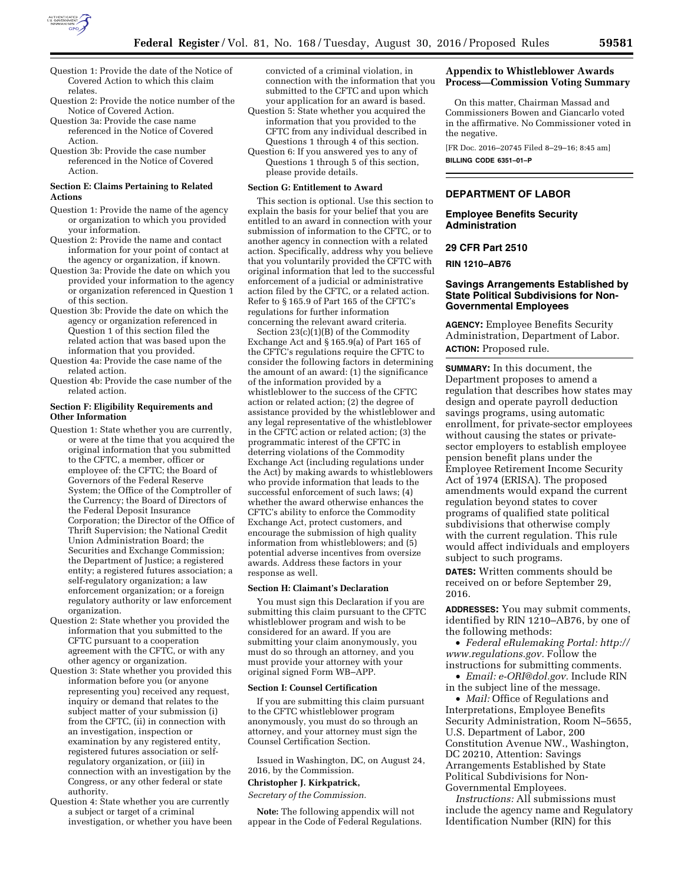

- Question 1: Provide the date of the Notice of Covered Action to which this claim relates.
- Question 2: Provide the notice number of the Notice of Covered Action.
- Question 3a: Provide the case name referenced in the Notice of Covered Action.
- Question 3b: Provide the case number referenced in the Notice of Covered Action.

### **Section E: Claims Pertaining to Related Actions**

- Question 1: Provide the name of the agency or organization to which you provided your information.
- Question 2: Provide the name and contact information for your point of contact at the agency or organization, if known.
- Question 3a: Provide the date on which you provided your information to the agency or organization referenced in Question 1 of this section.
- Question 3b: Provide the date on which the agency or organization referenced in Question 1 of this section filed the related action that was based upon the information that you provided.
- Question 4a: Provide the case name of the related action.
- Question 4b: Provide the case number of the related action.

## **Section F: Eligibility Requirements and Other Information**

- Question 1: State whether you are currently, or were at the time that you acquired the original information that you submitted to the CFTC, a member, officer or employee of: the CFTC; the Board of Governors of the Federal Reserve System; the Office of the Comptroller of the Currency; the Board of Directors of the Federal Deposit Insurance Corporation; the Director of the Office of Thrift Supervision; the National Credit Union Administration Board; the Securities and Exchange Commission; the Department of Justice; a registered entity; a registered futures association; a self-regulatory organization; a law enforcement organization; or a foreign regulatory authority or law enforcement organization.
- Question 2: State whether you provided the information that you submitted to the CFTC pursuant to a cooperation agreement with the CFTC, or with any other agency or organization.
- Question 3: State whether you provided this information before you (or anyone representing you) received any request, inquiry or demand that relates to the subject matter of your submission (i) from the CFTC, (ii) in connection with an investigation, inspection or examination by any registered entity, registered futures association or selfregulatory organization, or (iii) in connection with an investigation by the Congress, or any other federal or state authority.
- Question 4: State whether you are currently a subject or target of a criminal investigation, or whether you have been

convicted of a criminal violation, in connection with the information that you submitted to the CFTC and upon which your application for an award is based.

- Question 5: State whether you acquired the information that you provided to the CFTC from any individual described in Questions 1 through 4 of this section. Question 6: If you answered yes to any of
- Questions 1 through 5 of this section, please provide details.

### **Section G: Entitlement to Award**

This section is optional. Use this section to explain the basis for your belief that you are entitled to an award in connection with your submission of information to the CFTC, or to another agency in connection with a related action. Specifically, address why you believe that you voluntarily provided the CFTC with original information that led to the successful enforcement of a judicial or administrative action filed by the CFTC, or a related action. Refer to § 165.9 of Part 165 of the CFTC's regulations for further information concerning the relevant award criteria.

Section 23(c)(1)(B) of the Commodity Exchange Act and § 165.9(a) of Part 165 of the CFTC's regulations require the CFTC to consider the following factors in determining the amount of an award: (1) the significance of the information provided by a whistleblower to the success of the CFTC action or related action; (2) the degree of assistance provided by the whistleblower and any legal representative of the whistleblower in the CFTC action or related action; (3) the programmatic interest of the CFTC in deterring violations of the Commodity Exchange Act (including regulations under the Act) by making awards to whistleblowers who provide information that leads to the successful enforcement of such laws; (4) whether the award otherwise enhances the CFTC's ability to enforce the Commodity Exchange Act, protect customers, and encourage the submission of high quality information from whistleblowers; and (5) potential adverse incentives from oversize awards. Address these factors in your response as well.

### **Section H: Claimant's Declaration**

You must sign this Declaration if you are submitting this claim pursuant to the CFTC whistleblower program and wish to be considered for an award. If you are submitting your claim anonymously, you must do so through an attorney, and you must provide your attorney with your original signed Form WB–APP.

#### **Section I: Counsel Certification**

If you are submitting this claim pursuant to the CFTC whistleblower program anonymously, you must do so through an attorney, and your attorney must sign the Counsel Certification Section.

Issued in Washington, DC, on August 24, 2016, by the Commission.

#### **Christopher J. Kirkpatrick,**

*Secretary of the Commission.* 

**Note:** The following appendix will not appear in the Code of Federal Regulations.

# **Appendix to Whistleblower Awards Process—Commission Voting Summary**

On this matter, Chairman Massad and Commissioners Bowen and Giancarlo voted in the affirmative. No Commissioner voted in the negative.

[FR Doc. 2016–20745 Filed 8–29–16; 8:45 am] **BILLING CODE 6351–01–P** 

## **DEPARTMENT OF LABOR**

### **Employee Benefits Security Administration**

## **29 CFR Part 2510**

**RIN 1210–AB76** 

## **Savings Arrangements Established by State Political Subdivisions for Non-Governmental Employees**

**AGENCY:** Employee Benefits Security Administration, Department of Labor. **ACTION:** Proposed rule.

**SUMMARY:** In this document, the Department proposes to amend a regulation that describes how states may design and operate payroll deduction savings programs, using automatic enrollment, for private-sector employees without causing the states or privatesector employers to establish employee pension benefit plans under the Employee Retirement Income Security Act of 1974 (ERISA). The proposed amendments would expand the current regulation beyond states to cover programs of qualified state political subdivisions that otherwise comply with the current regulation. This rule would affect individuals and employers subject to such programs.

**DATES:** Written comments should be received on or before September 29, 2016.

**ADDRESSES:** You may submit comments, identified by RIN 1210–AB76, by one of the following methods:

• *Federal eRulemaking Portal: [http://](http://www.regulations.gov)  [www.regulations.gov.](http://www.regulations.gov)* Follow the instructions for submitting comments.

• *Email: [e-ORI@dol.gov.](mailto:e-ORI@dol.gov)* Include RIN in the subject line of the message.

• *Mail:* Office of Regulations and Interpretations, Employee Benefits Security Administration, Room N–5655, U.S. Department of Labor, 200 Constitution Avenue NW., Washington, DC 20210, Attention: Savings Arrangements Established by State Political Subdivisions for Non-Governmental Employees.

*Instructions:* All submissions must include the agency name and Regulatory Identification Number (RIN) for this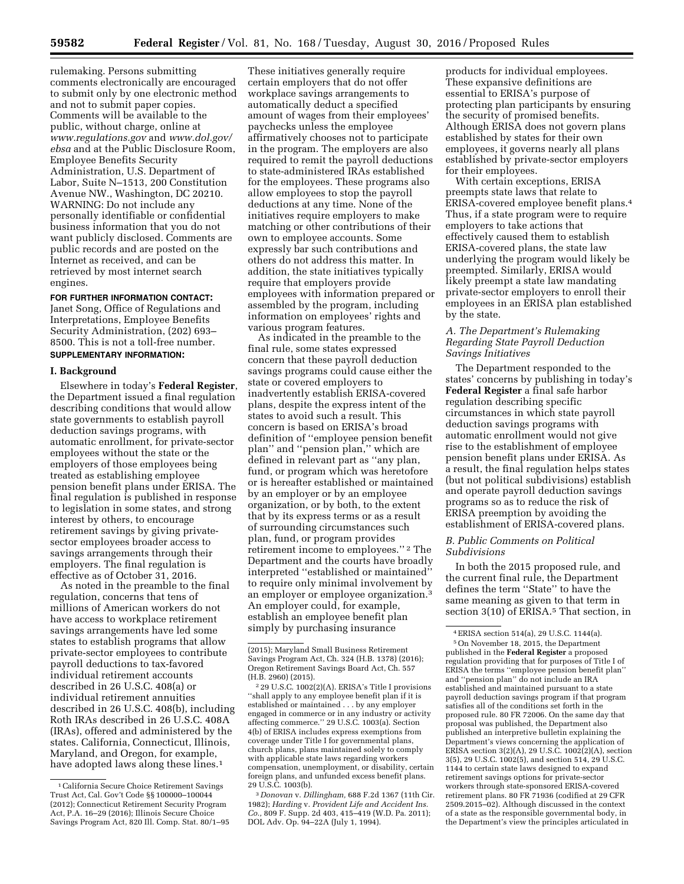rulemaking. Persons submitting comments electronically are encouraged to submit only by one electronic method and not to submit paper copies. Comments will be available to the public, without charge, online at *[www.regulations.gov](http://www.regulations.gov)* and *[www.dol.gov/](http://www.dol.gov/ebsa)  [ebsa](http://www.dol.gov/ebsa)* and at the Public Disclosure Room, Employee Benefits Security Administration, U.S. Department of Labor, Suite N–1513, 200 Constitution Avenue NW., Washington, DC 20210. WARNING: Do not include any personally identifiable or confidential business information that you do not want publicly disclosed. Comments are public records and are posted on the Internet as received, and can be retrieved by most internet search engines.

## **FOR FURTHER INFORMATION CONTACT:**

Janet Song, Office of Regulations and Interpretations, Employee Benefits Security Administration, (202) 693– 8500. This is not a toll-free number. **SUPPLEMENTARY INFORMATION:** 

### **I. Background**

Elsewhere in today's **Federal Register**, the Department issued a final regulation describing conditions that would allow state governments to establish payroll deduction savings programs, with automatic enrollment, for private-sector employees without the state or the employers of those employees being treated as establishing employee pension benefit plans under ERISA. The final regulation is published in response to legislation in some states, and strong interest by others, to encourage retirement savings by giving privatesector employees broader access to savings arrangements through their employers. The final regulation is effective as of October 31, 2016.

As noted in the preamble to the final regulation, concerns that tens of millions of American workers do not have access to workplace retirement savings arrangements have led some states to establish programs that allow private-sector employees to contribute payroll deductions to tax-favored individual retirement accounts described in 26 U.S.C. 408(a) or individual retirement annuities described in 26 U.S.C. 408(b), including Roth IRAs described in 26 U.S.C. 408A (IRAs), offered and administered by the states. California, Connecticut, Illinois, Maryland, and Oregon, for example, have adopted laws along these lines.<sup>1</sup>

These initiatives generally require certain employers that do not offer workplace savings arrangements to automatically deduct a specified amount of wages from their employees' paychecks unless the employee affirmatively chooses not to participate in the program. The employers are also required to remit the payroll deductions to state-administered IRAs established for the employees. These programs also allow employees to stop the payroll deductions at any time. None of the initiatives require employers to make matching or other contributions of their own to employee accounts. Some expressly bar such contributions and others do not address this matter. In addition, the state initiatives typically require that employers provide employees with information prepared or assembled by the program, including information on employees' rights and various program features.

As indicated in the preamble to the final rule, some states expressed concern that these payroll deduction savings programs could cause either the state or covered employers to inadvertently establish ERISA-covered plans, despite the express intent of the states to avoid such a result. This concern is based on ERISA's broad definition of ''employee pension benefit plan'' and ''pension plan,'' which are defined in relevant part as ''any plan, fund, or program which was heretofore or is hereafter established or maintained by an employer or by an employee organization, or by both, to the extent that by its express terms or as a result of surrounding circumstances such plan, fund, or program provides retirement income to employees.'' 2 The Department and the courts have broadly interpreted ''established or maintained'' to require only minimal involvement by an employer or employee organization.3 An employer could, for example, establish an employee benefit plan simply by purchasing insurance

products for individual employees. These expansive definitions are essential to ERISA's purpose of protecting plan participants by ensuring the security of promised benefits. Although ERISA does not govern plans established by states for their own employees, it governs nearly all plans established by private-sector employers for their employees.

With certain exceptions, ERISA preempts state laws that relate to ERISA-covered employee benefit plans.4 Thus, if a state program were to require employers to take actions that effectively caused them to establish ERISA-covered plans, the state law underlying the program would likely be preempted. Similarly, ERISA would likely preempt a state law mandating private-sector employers to enroll their employees in an ERISA plan established by the state.

# *A. The Department's Rulemaking Regarding State Payroll Deduction Savings Initiatives*

The Department responded to the states' concerns by publishing in today's **Federal Register** a final safe harbor regulation describing specific circumstances in which state payroll deduction savings programs with automatic enrollment would not give rise to the establishment of employee pension benefit plans under ERISA. As a result, the final regulation helps states (but not political subdivisions) establish and operate payroll deduction savings programs so as to reduce the risk of ERISA preemption by avoiding the establishment of ERISA-covered plans.

# *B. Public Comments on Political Subdivisions*

In both the 2015 proposed rule, and the current final rule, the Department defines the term ''State'' to have the same meaning as given to that term in section 3(10) of ERISA.<sup>5</sup> That section, in

<sup>1</sup>California Secure Choice Retirement Savings Trust Act, Cal. Gov't Code §§ 100000–100044 (2012); Connecticut Retirement Security Program Act, P.A. 16–29 (2016); Illinois Secure Choice Savings Program Act, 820 Ill. Comp. Stat. 80/1–95

<sup>(2015);</sup> Maryland Small Business Retirement Savings Program Act, Ch. 324 (H.B. 1378) (2016); Oregon Retirement Savings Board Act, Ch. 557 (H.B. 2960) (2015).

<sup>2</sup> 29 U.S.C. 1002(2)(A). ERISA's Title I provisions ''shall apply to any employee benefit plan if it is established or maintained . . . by any employer engaged in commerce or in any industry or activity affecting commerce.'' 29 U.S.C. 1003(a). Section 4(b) of ERISA includes express exemptions from coverage under Title I for governmental plans, church plans, plans maintained solely to comply with applicable state laws regarding workers compensation, unemployment, or disability, certain foreign plans, and unfunded excess benefit plans. 29 U.S.C. 1003(b).

<sup>3</sup> *Donovan* v. *Dillingham,* 688 F.2d 1367 (11th Cir. 1982); *Harding* v. *Provident Life and Accident Ins. Co.,* 809 F. Supp. 2d 403, 415–419 (W.D. Pa. 2011); DOL Adv. Op. 94–22A (July 1, 1994).

<sup>4</sup>ERISA section 514(a), 29 U.S.C. 1144(a).

<sup>5</sup>On November 18, 2015, the Department published in the **Federal Register** a proposed regulation providing that for purposes of Title I of ERISA the terms ''employee pension benefit plan'' and ''pension plan'' do not include an IRA established and maintained pursuant to a state payroll deduction savings program if that program satisfies all of the conditions set forth in the proposed rule. 80 FR 72006. On the same day that proposal was published, the Department also published an interpretive bulletin explaining the Department's views concerning the application of ERISA section 3(2)(A), 29 U.S.C. 1002(2)(A), section 3(5), 29 U.S.C. 1002(5), and section 514, 29 U.S.C. 1144 to certain state laws designed to expand retirement savings options for private-sector workers through state-sponsored ERISA-covered retirement plans. 80 FR 71936 (codified at 29 CFR 2509.2015–02). Although discussed in the context of a state as the responsible governmental body, in the Department's view the principles articulated in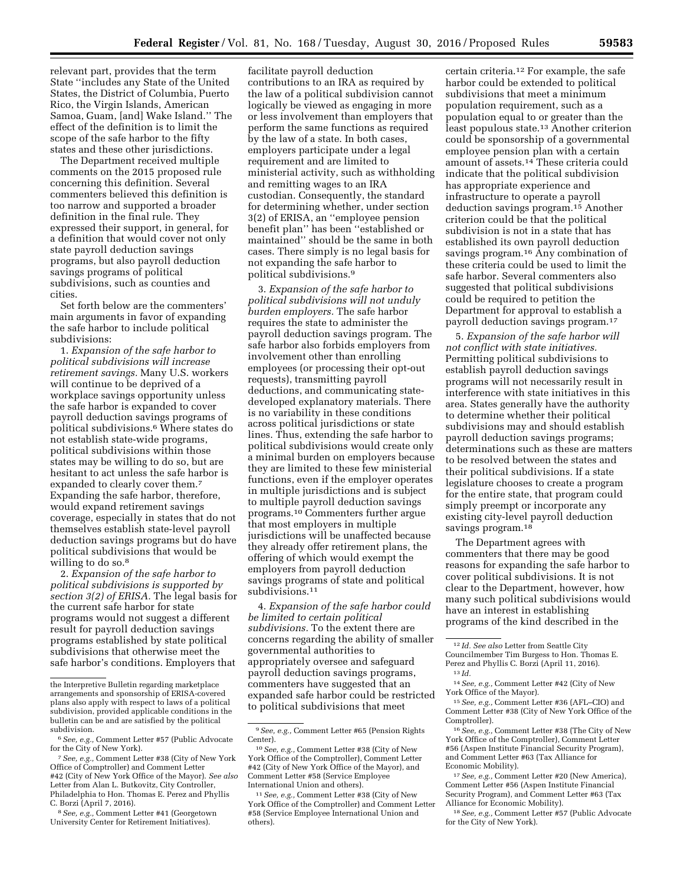relevant part, provides that the term State ''includes any State of the United States, the District of Columbia, Puerto Rico, the Virgin Islands, American Samoa, Guam, [and] Wake Island.'' The effect of the definition is to limit the scope of the safe harbor to the fifty states and these other jurisdictions.

The Department received multiple comments on the 2015 proposed rule concerning this definition. Several commenters believed this definition is too narrow and supported a broader definition in the final rule. They expressed their support, in general, for a definition that would cover not only state payroll deduction savings programs, but also payroll deduction savings programs of political subdivisions, such as counties and cities.

Set forth below are the commenters' main arguments in favor of expanding the safe harbor to include political subdivisions:

1. *Expansion of the safe harbor to political subdivisions will increase retirement savings.* Many U.S. workers will continue to be deprived of a workplace savings opportunity unless the safe harbor is expanded to cover payroll deduction savings programs of political subdivisions.6 Where states do not establish state-wide programs, political subdivisions within those states may be willing to do so, but are hesitant to act unless the safe harbor is expanded to clearly cover them.7 Expanding the safe harbor, therefore, would expand retirement savings coverage, especially in states that do not themselves establish state-level payroll deduction savings programs but do have political subdivisions that would be willing to do so.<sup>8</sup>

2. *Expansion of the safe harbor to political subdivisions is supported by section 3(2) of ERISA.* The legal basis for the current safe harbor for state programs would not suggest a different result for payroll deduction savings programs established by state political subdivisions that otherwise meet the safe harbor's conditions. Employers that

facilitate payroll deduction contributions to an IRA as required by the law of a political subdivision cannot logically be viewed as engaging in more or less involvement than employers that perform the same functions as required by the law of a state. In both cases, employers participate under a legal requirement and are limited to ministerial activity, such as withholding and remitting wages to an IRA custodian. Consequently, the standard for determining whether, under section 3(2) of ERISA, an ''employee pension benefit plan'' has been ''established or maintained'' should be the same in both cases. There simply is no legal basis for not expanding the safe harbor to political subdivisions.9

3. *Expansion of the safe harbor to political subdivisions will not unduly burden employers.* The safe harbor requires the state to administer the payroll deduction savings program. The safe harbor also forbids employers from involvement other than enrolling employees (or processing their opt-out requests), transmitting payroll deductions, and communicating statedeveloped explanatory materials. There is no variability in these conditions across political jurisdictions or state lines. Thus, extending the safe harbor to political subdivisions would create only a minimal burden on employers because they are limited to these few ministerial functions, even if the employer operates in multiple jurisdictions and is subject to multiple payroll deduction savings programs.10 Commenters further argue that most employers in multiple jurisdictions will be unaffected because they already offer retirement plans, the offering of which would exempt the employers from payroll deduction savings programs of state and political subdivisions.<sup>11</sup>

4. *Expansion of the safe harbor could be limited to certain political subdivisions.* To the extent there are concerns regarding the ability of smaller governmental authorities to appropriately oversee and safeguard payroll deduction savings programs, commenters have suggested that an expanded safe harbor could be restricted to political subdivisions that meet

certain criteria.12 For example, the safe harbor could be extended to political subdivisions that meet a minimum population requirement, such as a population equal to or greater than the least populous state.13 Another criterion could be sponsorship of a governmental employee pension plan with a certain amount of assets.14 These criteria could indicate that the political subdivision has appropriate experience and infrastructure to operate a payroll deduction savings program.15 Another criterion could be that the political subdivision is not in a state that has established its own payroll deduction savings program.16 Any combination of these criteria could be used to limit the safe harbor. Several commenters also suggested that political subdivisions could be required to petition the Department for approval to establish a payroll deduction savings program.17

5. *Expansion of the safe harbor will not conflict with state initiatives.*  Permitting political subdivisions to establish payroll deduction savings programs will not necessarily result in interference with state initiatives in this area. States generally have the authority to determine whether their political subdivisions may and should establish payroll deduction savings programs; determinations such as these are matters to be resolved between the states and their political subdivisions. If a state legislature chooses to create a program for the entire state, that program could simply preempt or incorporate any existing city-level payroll deduction savings program.<sup>18</sup>

The Department agrees with commenters that there may be good reasons for expanding the safe harbor to cover political subdivisions. It is not clear to the Department, however, how many such political subdivisions would have an interest in establishing programs of the kind described in the

14*See, e.g.,* Comment Letter #42 (City of New York Office of the Mayor).

16*See, e.g.,* Comment Letter #38 (The City of New York Office of the Comptroller), Comment Letter #56 (Aspen Institute Financial Security Program), and Comment Letter #63 (Tax Alliance for Economic Mobility).

17*See, e.g.,* Comment Letter #20 (New America), Comment Letter #56 (Aspen Institute Financial Security Program), and Comment Letter #63 (Tax Alliance for Economic Mobility).

18*See, e.g.,* Comment Letter #57 (Public Advocate for the City of New York).

the Interpretive Bulletin regarding marketplace arrangements and sponsorship of ERISA-covered plans also apply with respect to laws of a political subdivision, provided applicable conditions in the bulletin can be and are satisfied by the political subdivision.

<sup>6</sup>*See, e.g.,* Comment Letter #57 (Public Advocate for the City of New York).

<sup>7</sup>*See, e.g.,* Comment Letter #38 (City of New York Office of Comptroller) and Comment Letter #42 (City of New York Office of the Mayor). *See also*  Letter from Alan L. Butkovitz, City Controller, Philadelphia to Hon. Thomas E. Perez and Phyllis C. Borzi (April 7, 2016).

<sup>8</sup>*See, e.g.,* Comment Letter #41 (Georgetown University Center for Retirement Initiatives).

<sup>9</sup>*See, e.g.,* Comment Letter #65 (Pension Rights Center).

<sup>10</sup>*See, e.g.,* Comment Letter #38 (City of New York Office of the Comptroller), Comment Letter #42 (City of New York Office of the Mayor), and Comment Letter #58 (Service Employee International Union and others).

<sup>11</sup>*See, e.g.,* Comment Letter #38 (City of New York Office of the Comptroller) and Comment Letter #58 (Service Employee International Union and others).

<sup>12</sup> *Id. See also* Letter from Seattle City

Councilmember Tim Burgess to Hon. Thomas E. Perez and Phyllis C. Borzi (April 11, 2016). 13 *Id.* 

<sup>15</sup>*See, e.g.,* Comment Letter #36 (AFL–CIO) and Comment Letter #38 (City of New York Office of the Comptroller).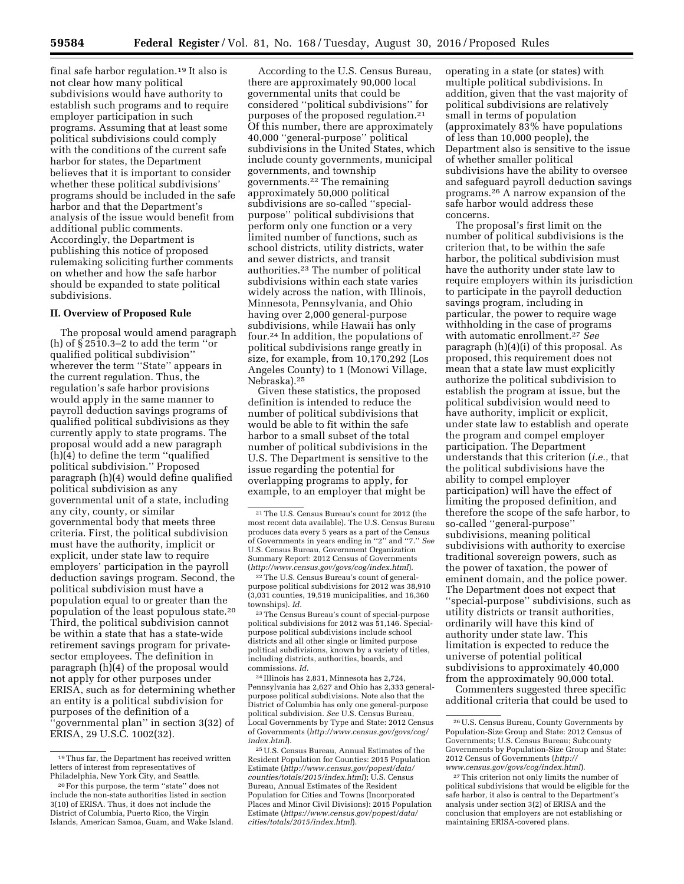final safe harbor regulation.19 It also is not clear how many political subdivisions would have authority to establish such programs and to require employer participation in such programs. Assuming that at least some political subdivisions could comply with the conditions of the current safe harbor for states, the Department believes that it is important to consider whether these political subdivisions' programs should be included in the safe harbor and that the Department's analysis of the issue would benefit from additional public comments. Accordingly, the Department is publishing this notice of proposed rulemaking soliciting further comments on whether and how the safe harbor should be expanded to state political subdivisions.

# **II. Overview of Proposed Rule**

The proposal would amend paragraph (h) of § 2510.3–2 to add the term ''or qualified political subdivision'' wherever the term ''State'' appears in the current regulation. Thus, the regulation's safe harbor provisions would apply in the same manner to payroll deduction savings programs of qualified political subdivisions as they currently apply to state programs. The proposal would add a new paragraph (h)(4) to define the term ''qualified political subdivision.'' Proposed paragraph (h)(4) would define qualified political subdivision as any governmental unit of a state, including any city, county, or similar governmental body that meets three criteria. First, the political subdivision must have the authority, implicit or explicit, under state law to require employers' participation in the payroll deduction savings program. Second, the political subdivision must have a population equal to or greater than the population of the least populous state.20 Third, the political subdivision cannot be within a state that has a state-wide retirement savings program for privatesector employees. The definition in paragraph (h)(4) of the proposal would not apply for other purposes under ERISA, such as for determining whether an entity is a political subdivision for purposes of the definition of a 'governmental plan" in section 3(32) of ERISA, 29 U.S.C. 1002(32).

According to the U.S. Census Bureau, there are approximately 90,000 local governmental units that could be considered ''political subdivisions'' for purposes of the proposed regulation.21 Of this number, there are approximately 40,000 ''general-purpose'' political subdivisions in the United States, which include county governments, municipal governments, and township governments.22 The remaining approximately 50,000 political subdivisions are so-called ''specialpurpose'' political subdivisions that perform only one function or a very limited number of functions, such as school districts, utility districts, water and sewer districts, and transit authorities.23 The number of political subdivisions within each state varies widely across the nation, with Illinois, Minnesota, Pennsylvania, and Ohio having over 2,000 general-purpose subdivisions, while Hawaii has only four.24 In addition, the populations of political subdivisions range greatly in size, for example, from 10,170,292 (Los Angeles County) to 1 (Monowi Village, Nebraska).25

Given these statistics, the proposed definition is intended to reduce the number of political subdivisions that would be able to fit within the safe harbor to a small subset of the total number of political subdivisions in the U.S. The Department is sensitive to the issue regarding the potential for overlapping programs to apply, for example, to an employer that might be

22The U.S. Census Bureau's count of generalpurpose political subdivisions for 2012 was 38,910 (3,031 counties, 19,519 municipalities, and 16,360 townships). *Id.* 

23The Census Bureau's count of special-purpose political subdivisions for 2012 was 51,146. Specialpurpose political subdivisions include school districts and all other single or limited purpose political subdivisions, known by a variety of titles, including districts, authorities, boards, and commissions. *Id.* 

24 Illinois has 2,831, Minnesota has 2,724, Pennsylvania has 2,627 and Ohio has 2,333 generalpurpose political subdivisions. Note also that the District of Columbia has only one general-purpose political subdivision. *See* U.S. Census Bureau, Local Governments by Type and State: 2012 Census of Governments (*[http://www.census.gov/govs/cog/](http://www.census.gov/govs/cog/index.html)  [index.html](http://www.census.gov/govs/cog/index.html)*).

25U.S. Census Bureau, Annual Estimates of the Resident Population for Counties: 2015 Population Estimate (*[http://www.census.gov/popest/data/](http://www.census.gov/popest/data/counties/totals/2015/index.html) [counties/totals/2015/index.html](http://www.census.gov/popest/data/counties/totals/2015/index.html)*); U.S. Census Bureau, Annual Estimates of the Resident Population for Cities and Towns (Incorporated Places and Minor Civil Divisions): 2015 Population Estimate (*[https://www.census.gov/popest/data/](https://www.census.gov/popest/data/cities/totals/2015/index.html) [cities/totals/2015/index.html](https://www.census.gov/popest/data/cities/totals/2015/index.html)*).

operating in a state (or states) with multiple political subdivisions. In addition, given that the vast majority of political subdivisions are relatively small in terms of population (approximately 83% have populations of less than 10,000 people), the Department also is sensitive to the issue of whether smaller political subdivisions have the ability to oversee and safeguard payroll deduction savings programs.26 A narrow expansion of the safe harbor would address these concerns.

The proposal's first limit on the number of political subdivisions is the criterion that, to be within the safe harbor, the political subdivision must have the authority under state law to require employers within its jurisdiction to participate in the payroll deduction savings program, including in particular, the power to require wage withholding in the case of programs with automatic enrollment.27 *See*  paragraph (h)(4)(i) of this proposal. As proposed, this requirement does not mean that a state law must explicitly authorize the political subdivision to establish the program at issue, but the political subdivision would need to have authority, implicit or explicit, under state law to establish and operate the program and compel employer participation. The Department understands that this criterion (*i.e.,* that the political subdivisions have the ability to compel employer participation) will have the effect of limiting the proposed definition, and therefore the scope of the safe harbor, to so-called ''general-purpose'' subdivisions, meaning political subdivisions with authority to exercise traditional sovereign powers, such as the power of taxation, the power of eminent domain, and the police power. The Department does not expect that ''special-purpose'' subdivisions, such as utility districts or transit authorities, ordinarily will have this kind of authority under state law. This limitation is expected to reduce the universe of potential political subdivisions to approximately 40,000 from the approximately 90,000 total.

Commenters suggested three specific additional criteria that could be used to

<sup>19</sup>Thus far, the Department has received written letters of interest from representatives of Philadelphia, New York City, and Seattle.

<sup>20</sup>For this purpose, the term ''state'' does not include the non-state authorities listed in section 3(10) of ERISA. Thus, it does not include the District of Columbia, Puerto Rico, the Virgin Islands, American Samoa, Guam, and Wake Island.

<sup>21</sup>The U.S. Census Bureau's count for 2012 (the most recent data available). The U.S. Census Bureau produces data every 5 years as a part of the Census of Governments in years ending in ''2'' and ''7.'' *See*  U.S. Census Bureau, Government Organization Summary Report: 2012 Census of Governments (*<http://www.census.gov/govs/cog/index.html>*).

<sup>26</sup>U.S. Census Bureau, County Governments by Population-Size Group and State: 2012 Census of Governments; U.S. Census Bureau; Subcounty Governments by Population-Size Group and State: 2012 Census of Governments (*[http://](http://www.census.gov/govs/cog/index.html) [www.census.gov/govs/cog/index.html](http://www.census.gov/govs/cog/index.html)*).

<sup>27</sup>This criterion not only limits the number of political subdivisions that would be eligible for the safe harbor, it also is central to the Department's analysis under section 3(2) of ERISA and the conclusion that employers are not establishing or maintaining ERISA-covered plans.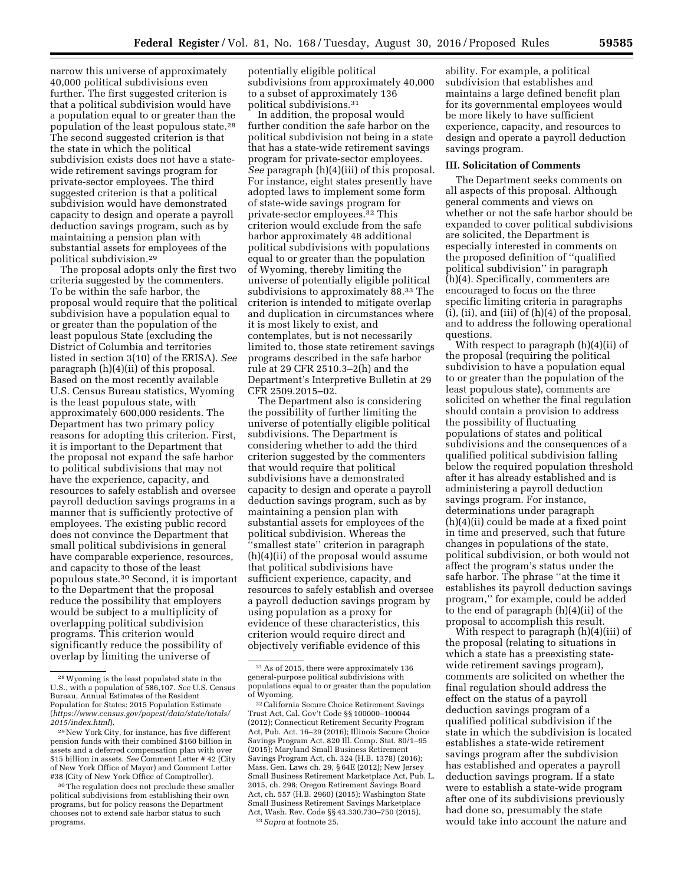narrow this universe of approximately 40,000 political subdivisions even further. The first suggested criterion is that a political subdivision would have a population equal to or greater than the population of the least populous state.28 The second suggested criterion is that the state in which the political subdivision exists does not have a statewide retirement savings program for private-sector employees. The third suggested criterion is that a political subdivision would have demonstrated capacity to design and operate a payroll deduction savings program, such as by maintaining a pension plan with substantial assets for employees of the political subdivision.29

The proposal adopts only the first two criteria suggested by the commenters. To be within the safe harbor, the proposal would require that the political subdivision have a population equal to or greater than the population of the least populous State (excluding the District of Columbia and territories listed in section 3(10) of the ERISA). *See*  paragraph (h)(4)(ii) of this proposal. Based on the most recently available U.S. Census Bureau statistics, Wyoming is the least populous state, with approximately 600,000 residents. The Department has two primary policy reasons for adopting this criterion. First, it is important to the Department that the proposal not expand the safe harbor to political subdivisions that may not have the experience, capacity, and resources to safely establish and oversee payroll deduction savings programs in a manner that is sufficiently protective of employees. The existing public record does not convince the Department that small political subdivisions in general have comparable experience, resources, and capacity to those of the least populous state.30 Second, it is important to the Department that the proposal reduce the possibility that employers would be subject to a multiplicity of overlapping political subdivision programs. This criterion would significantly reduce the possibility of overlap by limiting the universe of

potentially eligible political subdivisions from approximately 40,000 to a subset of approximately 136 political subdivisions.31

In addition, the proposal would further condition the safe harbor on the political subdivision not being in a state that has a state-wide retirement savings program for private-sector employees. *See* paragraph (h)(4)(iii) of this proposal. For instance, eight states presently have adopted laws to implement some form of state-wide savings program for private-sector employees.32 This criterion would exclude from the safe harbor approximately 48 additional political subdivisions with populations equal to or greater than the population of Wyoming, thereby limiting the universe of potentially eligible political subdivisions to approximately 88.33 The criterion is intended to mitigate overlap and duplication in circumstances where it is most likely to exist, and contemplates, but is not necessarily limited to, those state retirement savings programs described in the safe harbor rule at 29 CFR 2510.3–2(h) and the Department's Interpretive Bulletin at 29 CFR 2509.2015–02.

The Department also is considering the possibility of further limiting the universe of potentially eligible political subdivisions. The Department is considering whether to add the third criterion suggested by the commenters that would require that political subdivisions have a demonstrated capacity to design and operate a payroll deduction savings program, such as by maintaining a pension plan with substantial assets for employees of the political subdivision. Whereas the ''smallest state'' criterion in paragraph (h)(4)(ii) of the proposal would assume that political subdivisions have sufficient experience, capacity, and resources to safely establish and oversee a payroll deduction savings program by using population as a proxy for evidence of these characteristics, this criterion would require direct and objectively verifiable evidence of this

ability. For example, a political subdivision that establishes and maintains a large defined benefit plan for its governmental employees would be more likely to have sufficient experience, capacity, and resources to design and operate a payroll deduction savings program.

## **III. Solicitation of Comments**

The Department seeks comments on all aspects of this proposal. Although general comments and views on whether or not the safe harbor should be expanded to cover political subdivisions are solicited, the Department is especially interested in comments on the proposed definition of ''qualified political subdivision'' in paragraph (h)(4). Specifically, commenters are encouraged to focus on the three specific limiting criteria in paragraphs (i), (ii), and (iii) of (h)(4) of the proposal, and to address the following operational questions.

With respect to paragraph (h)(4)(ii) of the proposal (requiring the political subdivision to have a population equal to or greater than the population of the least populous state), comments are solicited on whether the final regulation should contain a provision to address the possibility of fluctuating populations of states and political subdivisions and the consequences of a qualified political subdivision falling below the required population threshold after it has already established and is administering a payroll deduction savings program. For instance, determinations under paragraph (h)(4)(ii) could be made at a fixed point in time and preserved, such that future changes in populations of the state, political subdivision, or both would not affect the program's status under the safe harbor. The phrase ''at the time it establishes its payroll deduction savings program,'' for example, could be added to the end of paragraph (h)(4)(ii) of the proposal to accomplish this result.

With respect to paragraph (h)(4)(iii) of the proposal (relating to situations in which a state has a preexisting statewide retirement savings program), comments are solicited on whether the final regulation should address the effect on the status of a payroll deduction savings program of a qualified political subdivision if the state in which the subdivision is located establishes a state-wide retirement savings program after the subdivision has established and operates a payroll deduction savings program. If a state were to establish a state-wide program after one of its subdivisions previously had done so, presumably the state would take into account the nature and

<sup>28</sup>Wyoming is the least populated state in the U.S., with a population of 586,107. *See* U.S. Census Bureau, Annual Estimates of the Resident Population for States: 2015 Population Estimate (*[https://www.census.gov/popest/data/state/totals/](https://www.census.gov/popest/data/state/totals/2015/index.html) [2015/index.html](https://www.census.gov/popest/data/state/totals/2015/index.html)*).

<sup>29</sup>New York City, for instance, has five different pension funds with their combined \$160 billion in assets and a deferred compensation plan with over \$15 billion in assets. *See* Comment Letter # 42 (City of New York Office of Mayor) and Comment Letter #38 (City of New York Office of Comptroller).

<sup>&</sup>lt;sup>30</sup>The regulation does not preclude these smaller political subdivisions from establishing their own programs, but for policy reasons the Department chooses not to extend safe harbor status to such programs.

<sup>31</sup>As of 2015, there were approximately 136 general-purpose political subdivisions with populations equal to or greater than the population of Wyoming.

<sup>32</sup>California Secure Choice Retirement Savings Trust Act, Cal. Gov't Code §§ 100000–100044 (2012); Connecticut Retirement Security Program Act, Pub. Act. 16–29 (2016); Illinois Secure Choice Savings Program Act, 820 Ill. Comp. Stat. 80/1–95 (2015); Maryland Small Business Retirement Savings Program Act, ch. 324 (H.B. 1378) (2016); Mass. Gen. Laws ch. 29, § 64E (2012); New Jersey Small Business Retirement Marketplace Act, Pub. L. 2015, ch. 298; Oregon Retirement Savings Board Act, ch. 557 (H.B. 2960) (2015); Washington State Small Business Retirement Savings Marketplace Act, Wash. Rev. Code §§ 43.330.730–750 (2015). 33*Supra* at footnote 25.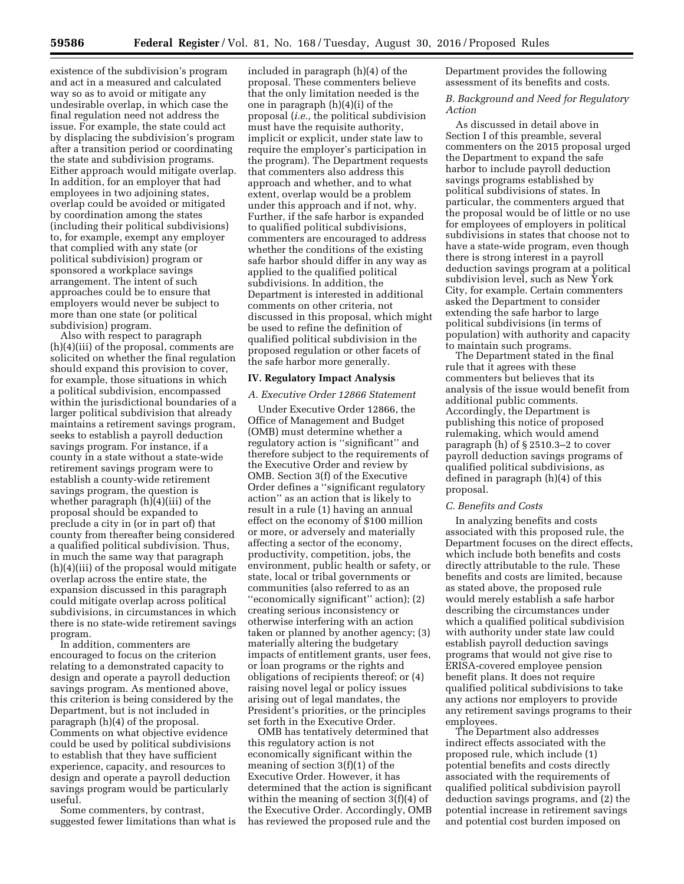existence of the subdivision's program and act in a measured and calculated way so as to avoid or mitigate any undesirable overlap, in which case the final regulation need not address the issue. For example, the state could act by displacing the subdivision's program after a transition period or coordinating the state and subdivision programs. Either approach would mitigate overlap. In addition, for an employer that had employees in two adjoining states, overlap could be avoided or mitigated by coordination among the states (including their political subdivisions) to, for example, exempt any employer that complied with any state (or political subdivision) program or sponsored a workplace savings arrangement. The intent of such approaches could be to ensure that employers would never be subject to more than one state (or political subdivision) program.

Also with respect to paragraph (h)(4)(iii) of the proposal, comments are solicited on whether the final regulation should expand this provision to cover, for example, those situations in which a political subdivision, encompassed within the jurisdictional boundaries of a larger political subdivision that already maintains a retirement savings program, seeks to establish a payroll deduction savings program. For instance, if a county in a state without a state-wide retirement savings program were to establish a county-wide retirement savings program, the question is whether paragraph (h)(4)(iii) of the proposal should be expanded to preclude a city in (or in part of) that county from thereafter being considered a qualified political subdivision. Thus, in much the same way that paragraph (h)(4)(iii) of the proposal would mitigate overlap across the entire state, the expansion discussed in this paragraph could mitigate overlap across political subdivisions, in circumstances in which there is no state-wide retirement savings program.

In addition, commenters are encouraged to focus on the criterion relating to a demonstrated capacity to design and operate a payroll deduction savings program. As mentioned above, this criterion is being considered by the Department, but is not included in paragraph (h)(4) of the proposal. Comments on what objective evidence could be used by political subdivisions to establish that they have sufficient experience, capacity, and resources to design and operate a payroll deduction savings program would be particularly useful.

Some commenters, by contrast, suggested fewer limitations than what is

included in paragraph (h)(4) of the proposal. These commenters believe that the only limitation needed is the one in paragraph (h)(4)(i) of the proposal (*i.e.,* the political subdivision must have the requisite authority, implicit or explicit, under state law to require the employer's participation in the program). The Department requests that commenters also address this approach and whether, and to what extent, overlap would be a problem under this approach and if not, why. Further, if the safe harbor is expanded to qualified political subdivisions, commenters are encouraged to address whether the conditions of the existing safe harbor should differ in any way as applied to the qualified political subdivisions. In addition, the Department is interested in additional comments on other criteria, not discussed in this proposal, which might be used to refine the definition of qualified political subdivision in the proposed regulation or other facets of the safe harbor more generally.

### **IV. Regulatory Impact Analysis**

### *A. Executive Order 12866 Statement*

Under Executive Order 12866, the Office of Management and Budget (OMB) must determine whether a regulatory action is ''significant'' and therefore subject to the requirements of the Executive Order and review by OMB. Section 3(f) of the Executive Order defines a ''significant regulatory action'' as an action that is likely to result in a rule (1) having an annual effect on the economy of \$100 million or more, or adversely and materially affecting a sector of the economy, productivity, competition, jobs, the environment, public health or safety, or state, local or tribal governments or communities (also referred to as an ''economically significant'' action); (2) creating serious inconsistency or otherwise interfering with an action taken or planned by another agency; (3) materially altering the budgetary impacts of entitlement grants, user fees, or loan programs or the rights and obligations of recipients thereof; or (4) raising novel legal or policy issues arising out of legal mandates, the President's priorities, or the principles set forth in the Executive Order.

OMB has tentatively determined that this regulatory action is not economically significant within the meaning of section 3(f)(1) of the Executive Order. However, it has determined that the action is significant within the meaning of section 3(f)(4) of the Executive Order. Accordingly, OMB has reviewed the proposed rule and the

Department provides the following assessment of its benefits and costs.

*B. Background and Need for Regulatory Action* 

As discussed in detail above in Section I of this preamble, several commenters on the 2015 proposal urged the Department to expand the safe harbor to include payroll deduction savings programs established by political subdivisions of states. In particular, the commenters argued that the proposal would be of little or no use for employees of employers in political subdivisions in states that choose not to have a state-wide program, even though there is strong interest in a payroll deduction savings program at a political subdivision level, such as New York City, for example. Certain commenters asked the Department to consider extending the safe harbor to large political subdivisions (in terms of population) with authority and capacity to maintain such programs.

The Department stated in the final rule that it agrees with these commenters but believes that its analysis of the issue would benefit from additional public comments. Accordingly, the Department is publishing this notice of proposed rulemaking, which would amend paragraph (h) of § 2510.3–2 to cover payroll deduction savings programs of qualified political subdivisions, as defined in paragraph (h)(4) of this proposal.

#### *C. Benefits and Costs*

In analyzing benefits and costs associated with this proposed rule, the Department focuses on the direct effects, which include both benefits and costs directly attributable to the rule. These benefits and costs are limited, because as stated above, the proposed rule would merely establish a safe harbor describing the circumstances under which a qualified political subdivision with authority under state law could establish payroll deduction savings programs that would not give rise to ERISA-covered employee pension benefit plans. It does not require qualified political subdivisions to take any actions nor employers to provide any retirement savings programs to their employees.

The Department also addresses indirect effects associated with the proposed rule, which include (1) potential benefits and costs directly associated with the requirements of qualified political subdivision payroll deduction savings programs, and (2) the potential increase in retirement savings and potential cost burden imposed on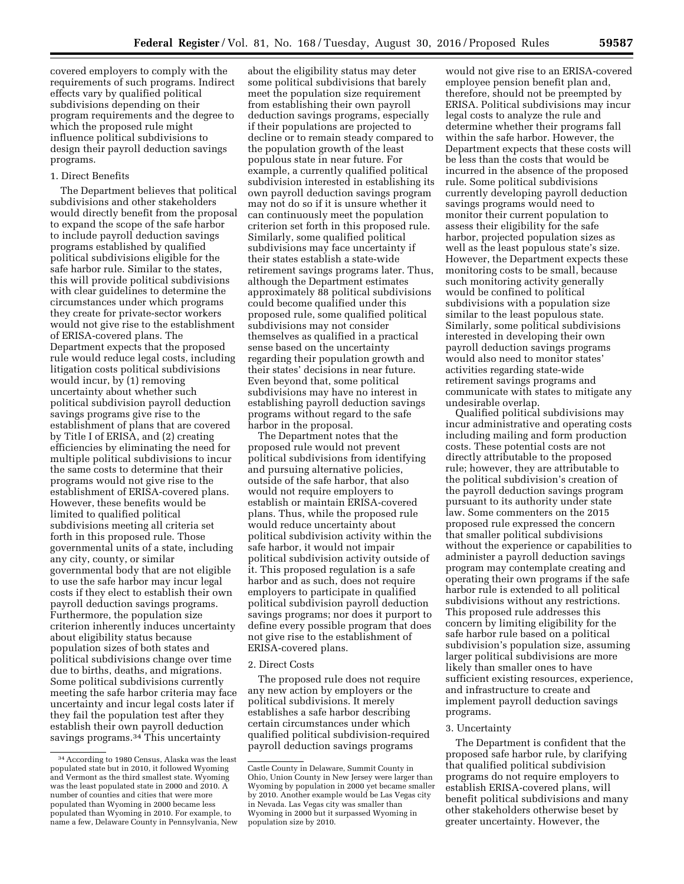covered employers to comply with the requirements of such programs. Indirect effects vary by qualified political subdivisions depending on their program requirements and the degree to which the proposed rule might influence political subdivisions to design their payroll deduction savings programs.

# 1. Direct Benefits

The Department believes that political subdivisions and other stakeholders would directly benefit from the proposal to expand the scope of the safe harbor to include payroll deduction savings programs established by qualified political subdivisions eligible for the safe harbor rule. Similar to the states, this will provide political subdivisions with clear guidelines to determine the circumstances under which programs they create for private-sector workers would not give rise to the establishment of ERISA-covered plans. The Department expects that the proposed rule would reduce legal costs, including litigation costs political subdivisions would incur, by (1) removing uncertainty about whether such political subdivision payroll deduction savings programs give rise to the establishment of plans that are covered by Title I of ERISA, and (2) creating efficiencies by eliminating the need for multiple political subdivisions to incur the same costs to determine that their programs would not give rise to the establishment of ERISA-covered plans. However, these benefits would be limited to qualified political subdivisions meeting all criteria set forth in this proposed rule. Those governmental units of a state, including any city, county, or similar governmental body that are not eligible to use the safe harbor may incur legal costs if they elect to establish their own payroll deduction savings programs. Furthermore, the population size criterion inherently induces uncertainty about eligibility status because population sizes of both states and political subdivisions change over time due to births, deaths, and migrations. Some political subdivisions currently meeting the safe harbor criteria may face uncertainty and incur legal costs later if they fail the population test after they establish their own payroll deduction savings programs.<sup>34</sup> This uncertainty

about the eligibility status may deter some political subdivisions that barely meet the population size requirement from establishing their own payroll deduction savings programs, especially if their populations are projected to decline or to remain steady compared to the population growth of the least populous state in near future. For example, a currently qualified political subdivision interested in establishing its own payroll deduction savings program may not do so if it is unsure whether it can continuously meet the population criterion set forth in this proposed rule. Similarly, some qualified political subdivisions may face uncertainty if their states establish a state-wide retirement savings programs later. Thus, although the Department estimates approximately 88 political subdivisions could become qualified under this proposed rule, some qualified political subdivisions may not consider themselves as qualified in a practical sense based on the uncertainty regarding their population growth and their states' decisions in near future. Even beyond that, some political subdivisions may have no interest in establishing payroll deduction savings programs without regard to the safe harbor in the proposal.

The Department notes that the proposed rule would not prevent political subdivisions from identifying and pursuing alternative policies, outside of the safe harbor, that also would not require employers to establish or maintain ERISA-covered plans. Thus, while the proposed rule would reduce uncertainty about political subdivision activity within the safe harbor, it would not impair political subdivision activity outside of it. This proposed regulation is a safe harbor and as such, does not require employers to participate in qualified political subdivision payroll deduction savings programs; nor does it purport to define every possible program that does not give rise to the establishment of ERISA-covered plans.

#### 2. Direct Costs

The proposed rule does not require any new action by employers or the political subdivisions. It merely establishes a safe harbor describing certain circumstances under which qualified political subdivision-required payroll deduction savings programs

would not give rise to an ERISA-covered employee pension benefit plan and, therefore, should not be preempted by ERISA. Political subdivisions may incur legal costs to analyze the rule and determine whether their programs fall within the safe harbor. However, the Department expects that these costs will be less than the costs that would be incurred in the absence of the proposed rule. Some political subdivisions currently developing payroll deduction savings programs would need to monitor their current population to assess their eligibility for the safe harbor, projected population sizes as well as the least populous state's size. However, the Department expects these monitoring costs to be small, because such monitoring activity generally would be confined to political subdivisions with a population size similar to the least populous state. Similarly, some political subdivisions interested in developing their own payroll deduction savings programs would also need to monitor states' activities regarding state-wide retirement savings programs and communicate with states to mitigate any undesirable overlap.

Qualified political subdivisions may incur administrative and operating costs including mailing and form production costs. These potential costs are not directly attributable to the proposed rule; however, they are attributable to the political subdivision's creation of the payroll deduction savings program pursuant to its authority under state law. Some commenters on the 2015 proposed rule expressed the concern that smaller political subdivisions without the experience or capabilities to administer a payroll deduction savings program may contemplate creating and operating their own programs if the safe harbor rule is extended to all political subdivisions without any restrictions. This proposed rule addresses this concern by limiting eligibility for the safe harbor rule based on a political subdivision's population size, assuming larger political subdivisions are more likely than smaller ones to have sufficient existing resources, experience, and infrastructure to create and implement payroll deduction savings programs.

### 3. Uncertainty

The Department is confident that the proposed safe harbor rule, by clarifying that qualified political subdivision programs do not require employers to establish ERISA-covered plans, will benefit political subdivisions and many other stakeholders otherwise beset by greater uncertainty. However, the

<sup>34</sup>According to 1980 Census, Alaska was the least populated state but in 2010, it followed Wyoming and Vermont as the third smallest state. Wyoming was the least populated state in 2000 and 2010. A number of counties and cities that were more populated than Wyoming in 2000 became less populated than Wyoming in 2010. For example, to name a few, Delaware County in Pennsylvania, New

Castle County in Delaware, Summit County in Ohio, Union County in New Jersey were larger than Wyoming by population in 2000 yet became smaller by 2010. Another example would be Las Vegas city in Nevada. Las Vegas city was smaller than Wyoming in 2000 but it surpassed Wyoming in population size by 2010.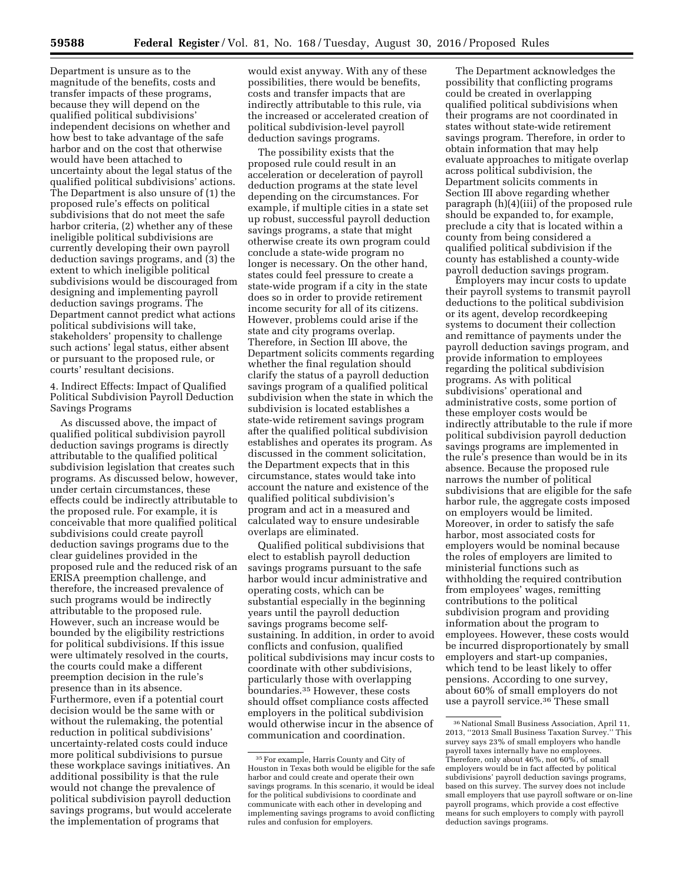Department is unsure as to the magnitude of the benefits, costs and transfer impacts of these programs, because they will depend on the qualified political subdivisions' independent decisions on whether and how best to take advantage of the safe harbor and on the cost that otherwise would have been attached to uncertainty about the legal status of the qualified political subdivisions' actions. The Department is also unsure of (1) the proposed rule's effects on political subdivisions that do not meet the safe harbor criteria, (2) whether any of these ineligible political subdivisions are currently developing their own payroll deduction savings programs, and (3) the extent to which ineligible political subdivisions would be discouraged from designing and implementing payroll deduction savings programs. The Department cannot predict what actions political subdivisions will take, stakeholders' propensity to challenge such actions' legal status, either absent or pursuant to the proposed rule, or courts' resultant decisions.

4. Indirect Effects: Impact of Qualified Political Subdivision Payroll Deduction Savings Programs

As discussed above, the impact of qualified political subdivision payroll deduction savings programs is directly attributable to the qualified political subdivision legislation that creates such programs. As discussed below, however, under certain circumstances, these effects could be indirectly attributable to the proposed rule. For example, it is conceivable that more qualified political subdivisions could create payroll deduction savings programs due to the clear guidelines provided in the proposed rule and the reduced risk of an ERISA preemption challenge, and therefore, the increased prevalence of such programs would be indirectly attributable to the proposed rule. However, such an increase would be bounded by the eligibility restrictions for political subdivisions. If this issue were ultimately resolved in the courts, the courts could make a different preemption decision in the rule's presence than in its absence. Furthermore, even if a potential court decision would be the same with or without the rulemaking, the potential reduction in political subdivisions' uncertainty-related costs could induce more political subdivisions to pursue these workplace savings initiatives. An additional possibility is that the rule would not change the prevalence of political subdivision payroll deduction savings programs, but would accelerate the implementation of programs that

would exist anyway. With any of these possibilities, there would be benefits, costs and transfer impacts that are indirectly attributable to this rule, via the increased or accelerated creation of political subdivision-level payroll deduction savings programs.

The possibility exists that the proposed rule could result in an acceleration or deceleration of payroll deduction programs at the state level depending on the circumstances. For example, if multiple cities in a state set up robust, successful payroll deduction savings programs, a state that might otherwise create its own program could conclude a state-wide program no longer is necessary. On the other hand, states could feel pressure to create a state-wide program if a city in the state does so in order to provide retirement income security for all of its citizens. However, problems could arise if the state and city programs overlap. Therefore, in Section III above, the Department solicits comments regarding whether the final regulation should clarify the status of a payroll deduction savings program of a qualified political subdivision when the state in which the subdivision is located establishes a state-wide retirement savings program after the qualified political subdivision establishes and operates its program. As discussed in the comment solicitation, the Department expects that in this circumstance, states would take into account the nature and existence of the qualified political subdivision's program and act in a measured and calculated way to ensure undesirable overlaps are eliminated.

Qualified political subdivisions that elect to establish payroll deduction savings programs pursuant to the safe harbor would incur administrative and operating costs, which can be substantial especially in the beginning years until the payroll deduction savings programs become selfsustaining. In addition, in order to avoid conflicts and confusion, qualified political subdivisions may incur costs to coordinate with other subdivisions, particularly those with overlapping boundaries.35 However, these costs should offset compliance costs affected employers in the political subdivision would otherwise incur in the absence of communication and coordination.

The Department acknowledges the possibility that conflicting programs could be created in overlapping qualified political subdivisions when their programs are not coordinated in states without state-wide retirement savings program. Therefore, in order to obtain information that may help evaluate approaches to mitigate overlap across political subdivision, the Department solicits comments in Section III above regarding whether paragraph (h)(4)(iii) of the proposed rule should be expanded to, for example, preclude a city that is located within a county from being considered a qualified political subdivision if the county has established a county-wide payroll deduction savings program.

Employers may incur costs to update their payroll systems to transmit payroll deductions to the political subdivision or its agent, develop recordkeeping systems to document their collection and remittance of payments under the payroll deduction savings program, and provide information to employees regarding the political subdivision programs. As with political subdivisions' operational and administrative costs, some portion of these employer costs would be indirectly attributable to the rule if more political subdivision payroll deduction savings programs are implemented in the rule's presence than would be in its absence. Because the proposed rule narrows the number of political subdivisions that are eligible for the safe harbor rule, the aggregate costs imposed on employers would be limited. Moreover, in order to satisfy the safe harbor, most associated costs for employers would be nominal because the roles of employers are limited to ministerial functions such as withholding the required contribution from employees' wages, remitting contributions to the political subdivision program and providing information about the program to employees. However, these costs would be incurred disproportionately by small employers and start-up companies, which tend to be least likely to offer pensions. According to one survey, about 60% of small employers do not use a payroll service.<sup>36</sup> These small

<sup>35</sup>For example, Harris County and City of Houston in Texas both would be eligible for the safe harbor and could create and operate their own savings programs. In this scenario, it would be ideal for the political subdivisions to coordinate and communicate with each other in developing and implementing savings programs to avoid conflicting rules and confusion for employers.

<sup>36</sup>National Small Business Association, April 11, 2013, ''2013 Small Business Taxation Survey.'' This survey says 23% of small employers who handle payroll taxes internally have no employees. Therefore, only about 46%, not 60%, of small employers would be in fact affected by political subdivisions' payroll deduction savings programs, based on this survey. The survey does not include small employers that use payroll software or on-line payroll programs, which provide a cost effective means for such employers to comply with payroll deduction savings programs.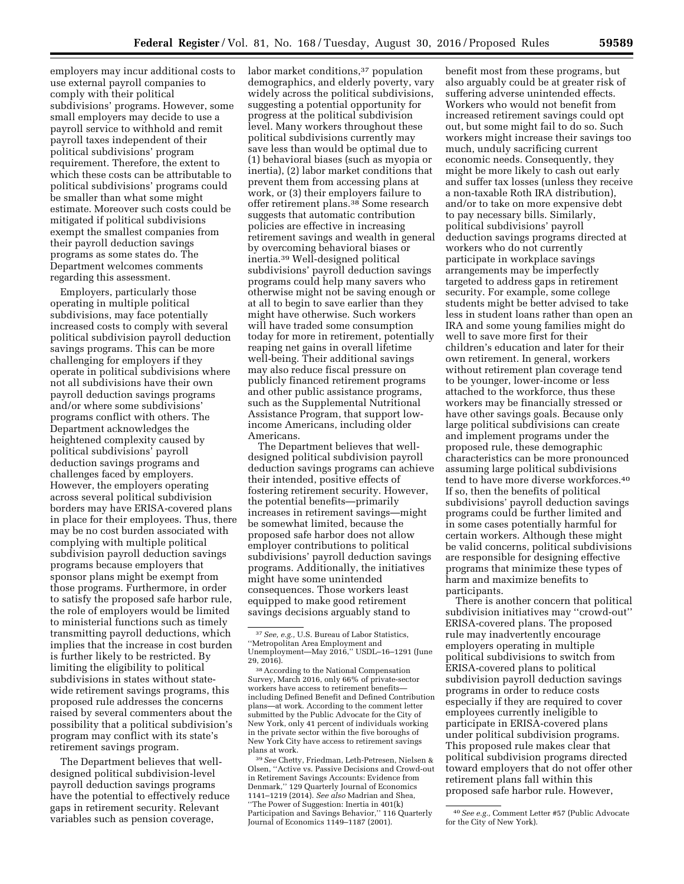employers may incur additional costs to use external payroll companies to comply with their political

subdivisions' programs. However, some small employers may decide to use a payroll service to withhold and remit payroll taxes independent of their political subdivisions' program requirement. Therefore, the extent to which these costs can be attributable to political subdivisions' programs could be smaller than what some might estimate. Moreover such costs could be mitigated if political subdivisions exempt the smallest companies from their payroll deduction savings programs as some states do. The Department welcomes comments regarding this assessment.

Employers, particularly those operating in multiple political subdivisions, may face potentially increased costs to comply with several political subdivision payroll deduction savings programs. This can be more challenging for employers if they operate in political subdivisions where not all subdivisions have their own payroll deduction savings programs and/or where some subdivisions' programs conflict with others. The Department acknowledges the heightened complexity caused by political subdivisions' payroll deduction savings programs and challenges faced by employers. However, the employers operating across several political subdivision borders may have ERISA-covered plans in place for their employees. Thus, there may be no cost burden associated with complying with multiple political subdivision payroll deduction savings programs because employers that sponsor plans might be exempt from those programs. Furthermore, in order to satisfy the proposed safe harbor rule, the role of employers would be limited to ministerial functions such as timely transmitting payroll deductions, which implies that the increase in cost burden is further likely to be restricted. By limiting the eligibility to political subdivisions in states without statewide retirement savings programs, this proposed rule addresses the concerns raised by several commenters about the possibility that a political subdivision's program may conflict with its state's retirement savings program.

The Department believes that welldesigned political subdivision-level payroll deduction savings programs have the potential to effectively reduce gaps in retirement security. Relevant variables such as pension coverage,

labor market conditions,<sup>37</sup> population demographics, and elderly poverty, vary widely across the political subdivisions, suggesting a potential opportunity for progress at the political subdivision level. Many workers throughout these political subdivisions currently may save less than would be optimal due to (1) behavioral biases (such as myopia or inertia), (2) labor market conditions that prevent them from accessing plans at work, or (3) their employers failure to offer retirement plans.38 Some research suggests that automatic contribution policies are effective in increasing retirement savings and wealth in general by overcoming behavioral biases or inertia.39 Well-designed political subdivisions' payroll deduction savings programs could help many savers who otherwise might not be saving enough or at all to begin to save earlier than they might have otherwise. Such workers will have traded some consumption today for more in retirement, potentially reaping net gains in overall lifetime well-being. Their additional savings may also reduce fiscal pressure on publicly financed retirement programs and other public assistance programs, such as the Supplemental Nutritional Assistance Program, that support lowincome Americans, including older Americans.

The Department believes that welldesigned political subdivision payroll deduction savings programs can achieve their intended, positive effects of fostering retirement security. However, the potential benefits—primarily increases in retirement savings—might be somewhat limited, because the proposed safe harbor does not allow employer contributions to political subdivisions' payroll deduction savings programs. Additionally, the initiatives might have some unintended consequences. Those workers least equipped to make good retirement savings decisions arguably stand to

39*See* Chetty, Friedman, Leth-Petresen, Nielsen & Olsen, ''Active vs. Passive Decisions and Crowd-out in Retirement Savings Accounts: Evidence from Denmark,'' 129 Quarterly Journal of Economics 1141–1219 (2014). *See also* Madrian and Shea, ''The Power of Suggestion: Inertia in 401(k) Participation and Savings Behavior,'' 116 Quarterly Journal of Economics 1149–1187 (2001).

benefit most from these programs, but also arguably could be at greater risk of suffering adverse unintended effects. Workers who would not benefit from increased retirement savings could opt out, but some might fail to do so. Such workers might increase their savings too much, unduly sacrificing current economic needs. Consequently, they might be more likely to cash out early and suffer tax losses (unless they receive a non-taxable Roth IRA distribution), and/or to take on more expensive debt to pay necessary bills. Similarly, political subdivisions' payroll deduction savings programs directed at workers who do not currently participate in workplace savings arrangements may be imperfectly targeted to address gaps in retirement security. For example, some college students might be better advised to take less in student loans rather than open an IRA and some young families might do well to save more first for their children's education and later for their own retirement. In general, workers without retirement plan coverage tend to be younger, lower-income or less attached to the workforce, thus these workers may be financially stressed or have other savings goals. Because only large political subdivisions can create and implement programs under the proposed rule, these demographic characteristics can be more pronounced assuming large political subdivisions tend to have more diverse workforces.40 If so, then the benefits of political subdivisions' payroll deduction savings programs could be further limited and in some cases potentially harmful for certain workers. Although these might be valid concerns, political subdivisions are responsible for designing effective programs that minimize these types of harm and maximize benefits to participants.

There is another concern that political subdivision initiatives may ''crowd-out'' ERISA-covered plans. The proposed rule may inadvertently encourage employers operating in multiple political subdivisions to switch from ERISA-covered plans to political subdivision payroll deduction savings programs in order to reduce costs especially if they are required to cover employees currently ineligible to participate in ERISA-covered plans under political subdivision programs. This proposed rule makes clear that political subdivision programs directed toward employers that do not offer other retirement plans fall within this proposed safe harbor rule. However,

<sup>37</sup>*See, e.g.,* U.S. Bureau of Labor Statistics, ''Metropolitan Area Employment and Unemployment—May 2016,'' USDL–16–1291 (June 29, 2016).

<sup>38</sup>According to the National Compensation Survey, March 2016, only 66% of private-sector workers have access to retirement benefits including Defined Benefit and Defined Contribution plans—at work. According to the comment letter submitted by the Public Advocate for the City of New York, only 41 percent of individuals working in the private sector within the five boroughs of New York City have access to retirement savings plans at work.

<sup>40</sup>*See e.g.,* Comment Letter #57 (Public Advocate for the City of New York).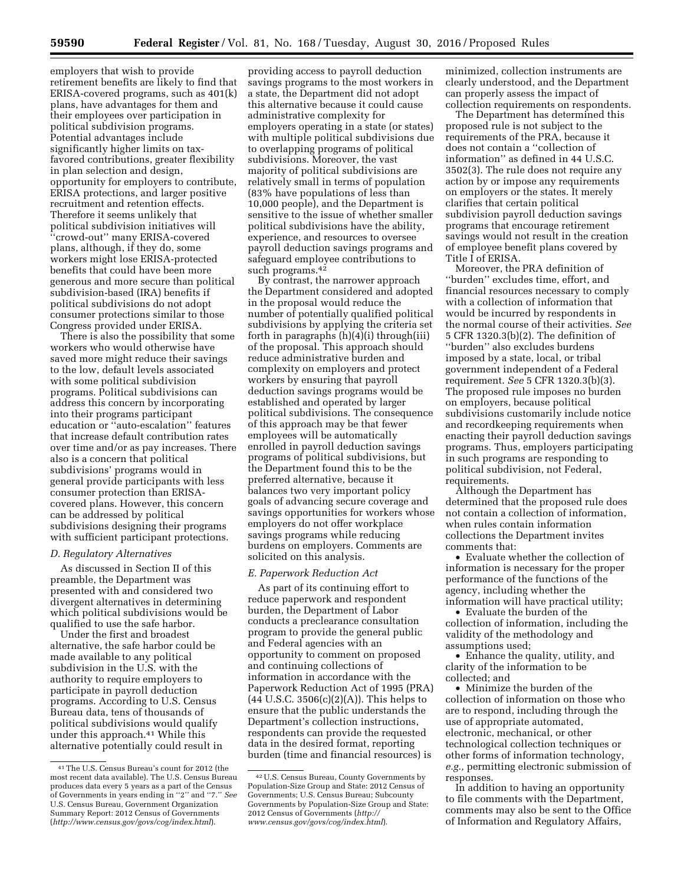employers that wish to provide retirement benefits are likely to find that ERISA-covered programs, such as 401(k) plans, have advantages for them and their employees over participation in political subdivision programs. Potential advantages include significantly higher limits on taxfavored contributions, greater flexibility in plan selection and design, opportunity for employers to contribute, ERISA protections, and larger positive recruitment and retention effects. Therefore it seems unlikely that political subdivision initiatives will ''crowd-out'' many ERISA-covered plans, although, if they do, some workers might lose ERISA-protected benefits that could have been more generous and more secure than political subdivision-based (IRA) benefits if political subdivisions do not adopt consumer protections similar to those Congress provided under ERISA.

There is also the possibility that some workers who would otherwise have saved more might reduce their savings to the low, default levels associated with some political subdivision programs. Political subdivisions can address this concern by incorporating into their programs participant education or ''auto-escalation'' features that increase default contribution rates over time and/or as pay increases. There also is a concern that political subdivisions' programs would in general provide participants with less consumer protection than ERISAcovered plans. However, this concern can be addressed by political subdivisions designing their programs with sufficient participant protections.

# *D. Regulatory Alternatives*

As discussed in Section II of this preamble, the Department was presented with and considered two divergent alternatives in determining which political subdivisions would be qualified to use the safe harbor.

Under the first and broadest alternative, the safe harbor could be made available to any political subdivision in the U.S. with the authority to require employers to participate in payroll deduction programs. According to U.S. Census Bureau data, tens of thousands of political subdivisions would qualify under this approach.41 While this alternative potentially could result in

providing access to payroll deduction savings programs to the most workers in a state, the Department did not adopt this alternative because it could cause administrative complexity for employers operating in a state (or states) with multiple political subdivisions due to overlapping programs of political subdivisions. Moreover, the vast majority of political subdivisions are relatively small in terms of population (83% have populations of less than 10,000 people), and the Department is sensitive to the issue of whether smaller political subdivisions have the ability, experience, and resources to oversee payroll deduction savings programs and safeguard employee contributions to such programs.<sup>42</sup>

By contrast, the narrower approach the Department considered and adopted in the proposal would reduce the number of potentially qualified political subdivisions by applying the criteria set forth in paragraphs (h)(4)(i) through(iii) of the proposal. This approach should reduce administrative burden and complexity on employers and protect workers by ensuring that payroll deduction savings programs would be established and operated by larger political subdivisions. The consequence of this approach may be that fewer employees will be automatically enrolled in payroll deduction savings programs of political subdivisions, but the Department found this to be the preferred alternative, because it balances two very important policy goals of advancing secure coverage and savings opportunities for workers whose employers do not offer workplace savings programs while reducing burdens on employers. Comments are solicited on this analysis.

#### *E. Paperwork Reduction Act*

As part of its continuing effort to reduce paperwork and respondent burden, the Department of Labor conducts a preclearance consultation program to provide the general public and Federal agencies with an opportunity to comment on proposed and continuing collections of information in accordance with the Paperwork Reduction Act of 1995 (PRA) (44 U.S.C. 3506(c)(2)(A)). This helps to ensure that the public understands the Department's collection instructions, respondents can provide the requested data in the desired format, reporting burden (time and financial resources) is

minimized, collection instruments are clearly understood, and the Department can properly assess the impact of collection requirements on respondents.

The Department has determined this proposed rule is not subject to the requirements of the PRA, because it does not contain a ''collection of information'' as defined in 44 U.S.C. 3502(3). The rule does not require any action by or impose any requirements on employers or the states. It merely clarifies that certain political subdivision payroll deduction savings programs that encourage retirement savings would not result in the creation of employee benefit plans covered by Title I of ERISA.

Moreover, the PRA definition of ''burden'' excludes time, effort, and financial resources necessary to comply with a collection of information that would be incurred by respondents in the normal course of their activities. *See*  5 CFR 1320.3(b)(2). The definition of ''burden'' also excludes burdens imposed by a state, local, or tribal government independent of a Federal requirement. *See* 5 CFR 1320.3(b)(3). The proposed rule imposes no burden on employers, because political subdivisions customarily include notice and recordkeeping requirements when enacting their payroll deduction savings programs. Thus, employers participating in such programs are responding to political subdivision, not Federal, requirements.

Although the Department has determined that the proposed rule does not contain a collection of information, when rules contain information collections the Department invites comments that:

• Evaluate whether the collection of information is necessary for the proper performance of the functions of the agency, including whether the information will have practical utility;

• Evaluate the burden of the collection of information, including the validity of the methodology and assumptions used;

• Enhance the quality, utility, and clarity of the information to be collected; and

• Minimize the burden of the collection of information on those who are to respond, including through the use of appropriate automated, electronic, mechanical, or other technological collection techniques or other forms of information technology, *e.g.,* permitting electronic submission of responses.

In addition to having an opportunity to file comments with the Department, comments may also be sent to the Office of Information and Regulatory Affairs,

<sup>41</sup>The U.S. Census Bureau's count for 2012 (the most recent data available). The U.S. Census Bureau produces data every 5 years as a part of the Census of Governments in years ending in ''2'' and ''7.'' *See*  U.S. Census Bureau, Government Organization Summary Report: 2012 Census of Governments (*<http://www.census.gov/govs/cog/index.html>*).

<sup>42</sup>U.S. Census Bureau, County Governments by Population-Size Group and State: 2012 Census of Governments; U.S. Census Bureau; Subcounty Governments by Population-Size Group and State: 2012 Census of Governments (*[http://](http://www.census.gov/govs/cog/index.html) [www.census.gov/govs/cog/index.html](http://www.census.gov/govs/cog/index.html)*).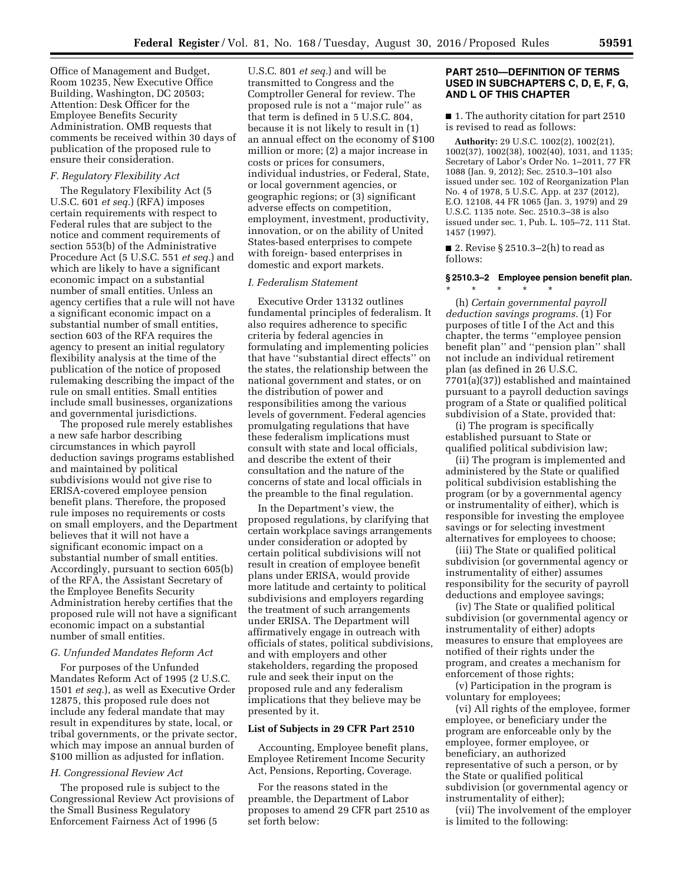Office of Management and Budget, Room 10235, New Executive Office Building, Washington, DC 20503; Attention: Desk Officer for the Employee Benefits Security Administration. OMB requests that comments be received within 30 days of publication of the proposed rule to ensure their consideration.

# *F. Regulatory Flexibility Act*

The Regulatory Flexibility Act (5 U.S.C. 601 *et seq.*) (RFA) imposes certain requirements with respect to Federal rules that are subject to the notice and comment requirements of section 553(b) of the Administrative Procedure Act (5 U.S.C. 551 *et seq.*) and which are likely to have a significant economic impact on a substantial number of small entities. Unless an agency certifies that a rule will not have a significant economic impact on a substantial number of small entities, section 603 of the RFA requires the agency to present an initial regulatory flexibility analysis at the time of the publication of the notice of proposed rulemaking describing the impact of the rule on small entities. Small entities include small businesses, organizations and governmental jurisdictions.

The proposed rule merely establishes a new safe harbor describing circumstances in which payroll deduction savings programs established and maintained by political subdivisions would not give rise to ERISA-covered employee pension benefit plans. Therefore, the proposed rule imposes no requirements or costs on small employers, and the Department believes that it will not have a significant economic impact on a substantial number of small entities. Accordingly, pursuant to section 605(b) of the RFA, the Assistant Secretary of the Employee Benefits Security Administration hereby certifies that the proposed rule will not have a significant economic impact on a substantial number of small entities.

#### *G. Unfunded Mandates Reform Act*

For purposes of the Unfunded Mandates Reform Act of 1995 (2 U.S.C. 1501 *et seq.*), as well as Executive Order 12875, this proposed rule does not include any federal mandate that may result in expenditures by state, local, or tribal governments, or the private sector, which may impose an annual burden of \$100 million as adjusted for inflation.

### *H. Congressional Review Act*

The proposed rule is subject to the Congressional Review Act provisions of the Small Business Regulatory Enforcement Fairness Act of 1996 (5

U.S.C. 801 *et seq.*) and will be transmitted to Congress and the Comptroller General for review. The proposed rule is not a ''major rule'' as that term is defined in 5 U.S.C. 804, because it is not likely to result in (1) an annual effect on the economy of \$100 million or more; (2) a major increase in costs or prices for consumers, individual industries, or Federal, State, or local government agencies, or geographic regions; or (3) significant adverse effects on competition, employment, investment, productivity, innovation, or on the ability of United States-based enterprises to compete with foreign- based enterprises in domestic and export markets.

### *I. Federalism Statement*

Executive Order 13132 outlines fundamental principles of federalism. It also requires adherence to specific criteria by federal agencies in formulating and implementing policies that have ''substantial direct effects'' on the states, the relationship between the national government and states, or on the distribution of power and responsibilities among the various levels of government. Federal agencies promulgating regulations that have these federalism implications must consult with state and local officials, and describe the extent of their consultation and the nature of the concerns of state and local officials in the preamble to the final regulation.

In the Department's view, the proposed regulations, by clarifying that certain workplace savings arrangements under consideration or adopted by certain political subdivisions will not result in creation of employee benefit plans under ERISA, would provide more latitude and certainty to political subdivisions and employers regarding the treatment of such arrangements under ERISA. The Department will affirmatively engage in outreach with officials of states, political subdivisions, and with employers and other stakeholders, regarding the proposed rule and seek their input on the proposed rule and any federalism implications that they believe may be presented by it.

## **List of Subjects in 29 CFR Part 2510**

Accounting, Employee benefit plans, Employee Retirement Income Security Act, Pensions, Reporting, Coverage.

For the reasons stated in the preamble, the Department of Labor proposes to amend 29 CFR part 2510 as set forth below:

# **PART 2510—DEFINITION OF TERMS USED IN SUBCHAPTERS C, D, E, F, G, AND L OF THIS CHAPTER**

■ 1. The authority citation for part 2510 is revised to read as follows:

**Authority:** 29 U.S.C. 1002(2), 1002(21), 1002(37), 1002(38), 1002(40), 1031, and 1135; Secretary of Labor's Order No. 1–2011, 77 FR 1088 (Jan. 9, 2012); Sec. 2510.3–101 also issued under sec. 102 of Reorganization Plan No. 4 of 1978, 5 U.S.C. App. at 237 (2012), E.O. 12108, 44 FR 1065 (Jan. 3, 1979) and 29 U.S.C. 1135 note. Sec. 2510.3–38 is also issued under sec. 1, Pub. L. 105–72, 111 Stat. 1457 (1997).

■ 2. Revise § 2510.3–2(h) to read as follows:

\* \* \* \* \*

# **§ 2510.3–2 Employee pension benefit plan.**

(h) *Certain governmental payroll deduction savings programs.* (1) For purposes of title I of the Act and this chapter, the terms ''employee pension benefit plan'' and ''pension plan'' shall not include an individual retirement plan (as defined in 26 U.S.C. 7701(a)(37)) established and maintained pursuant to a payroll deduction savings program of a State or qualified political subdivision of a State, provided that:

(i) The program is specifically established pursuant to State or qualified political subdivision law;

(ii) The program is implemented and administered by the State or qualified political subdivision establishing the program (or by a governmental agency or instrumentality of either), which is responsible for investing the employee savings or for selecting investment alternatives for employees to choose;

(iii) The State or qualified political subdivision (or governmental agency or instrumentality of either) assumes responsibility for the security of payroll deductions and employee savings;

(iv) The State or qualified political subdivision (or governmental agency or instrumentality of either) adopts measures to ensure that employees are notified of their rights under the program, and creates a mechanism for enforcement of those rights;

(v) Participation in the program is voluntary for employees;

(vi) All rights of the employee, former employee, or beneficiary under the program are enforceable only by the employee, former employee, or beneficiary, an authorized representative of such a person, or by the State or qualified political subdivision (or governmental agency or instrumentality of either);

(vii) The involvement of the employer is limited to the following: